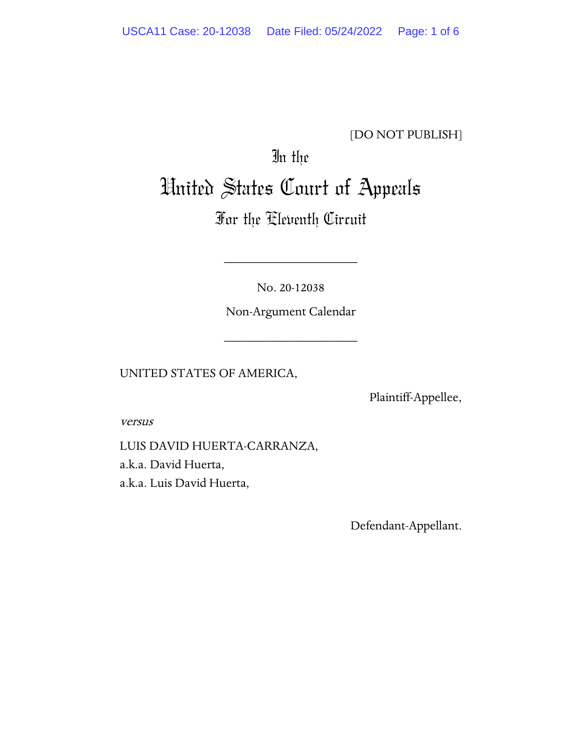### [DO NOT PUBLISH]

# In the United States Court of Appeals

## For the Eleventh Circuit

No. 20-12038

\_\_\_\_\_\_\_\_\_\_\_\_\_\_\_\_\_\_\_\_

Non-Argument Calendar

\_\_\_\_\_\_\_\_\_\_\_\_\_\_\_\_\_\_\_\_

UNITED STATES OF AMERICA,

Plaintiff-Appellee,

versus

LUIS DAVID HUERTA-CARRANZA, a.k.a. David Huerta, a.k.a. Luis David Huerta,

Defendant-Appellant.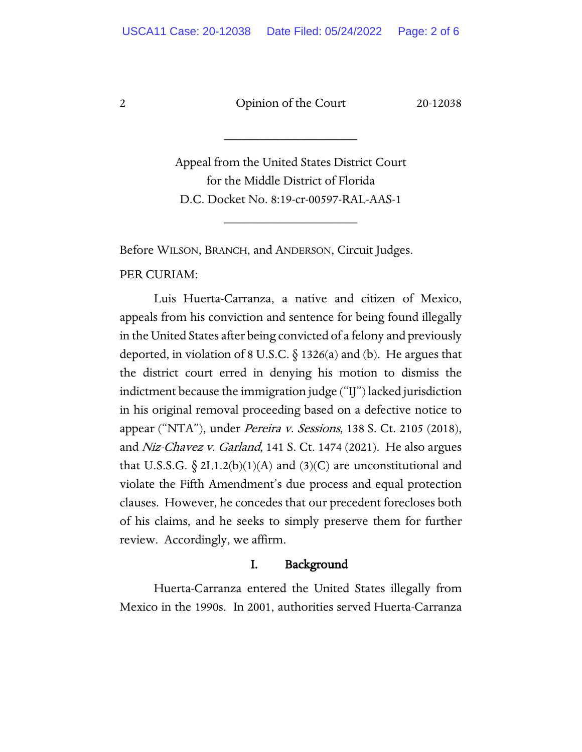2 Opinion of the Court 20-12038

\_\_\_\_\_\_\_\_\_\_\_\_\_\_\_\_\_\_\_\_

Appeal from the United States District Court for the Middle District of Florida D.C. Docket No. 8:19-cr-00597-RAL-AAS-1

\_\_\_\_\_\_\_\_\_\_\_\_\_\_\_\_\_\_\_\_

Before WILSON, BRANCH, and ANDERSON, Circuit Judges.

PER CURIAM:

Luis Huerta-Carranza, a native and citizen of Mexico, appeals from his conviction and sentence for being found illegally in the United States after being convicted of a felony and previously deported, in violation of 8 U.S.C.  $\delta$  1326(a) and (b). He argues that the district court erred in denying his motion to dismiss the indictment because the immigration judge ("IJ") lacked jurisdiction in his original removal proceeding based on a defective notice to appear ("NTA"), under Pereira v. Sessions, 138 S. Ct. 2105 (2018), and Niz-Chavez v. Garland, 141 S. Ct. 1474 (2021). He also argues that U.S.S.G.  $\S 2L1.2(b)(1)(A)$  and  $(3)(C)$  are unconstitutional and violate the Fifth Amendment's due process and equal protection clauses. However, he concedes that our precedent forecloses both of his claims, and he seeks to simply preserve them for further review. Accordingly, we affirm.

#### I. Background

Huerta-Carranza entered the United States illegally from Mexico in the 1990s. In 2001, authorities served Huerta-Carranza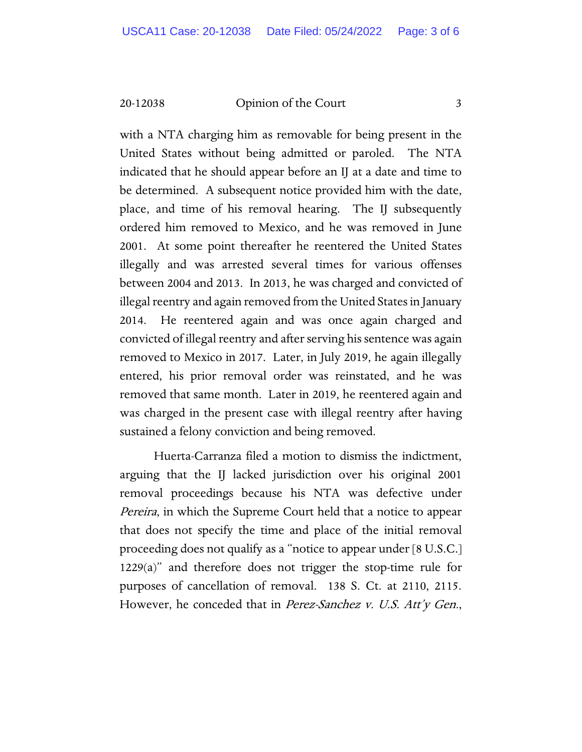#### 20-12038 Opinion of the Court 3

with a NTA charging him as removable for being present in the United States without being admitted or paroled. The NTA indicated that he should appear before an IJ at a date and time to be determined. A subsequent notice provided him with the date, place, and time of his removal hearing. The IJ subsequently ordered him removed to Mexico, and he was removed in June 2001. At some point thereafter he reentered the United States illegally and was arrested several times for various offenses between 2004 and 2013. In 2013, he was charged and convicted of illegal reentry and again removed from the United Statesin January 2014. He reentered again and was once again charged and convicted of illegal reentry and after serving his sentence was again removed to Mexico in 2017. Later, in July 2019, he again illegally entered, his prior removal order was reinstated, and he was removed that same month. Later in 2019, he reentered again and was charged in the present case with illegal reentry after having sustained a felony conviction and being removed.

Huerta-Carranza filed a motion to dismiss the indictment, arguing that the IJ lacked jurisdiction over his original 2001 removal proceedings because his NTA was defective under Pereira, in which the Supreme Court held that a notice to appear that does not specify the time and place of the initial removal proceeding does not qualify as a "notice to appear under [8 U.S.C.] 1229(a)" and therefore does not trigger the stop-time rule for purposes of cancellation of removal. 138 S. Ct. at 2110, 2115. However, he conceded that in *Perez-Sanchez v. U.S. Att'y Gen.*,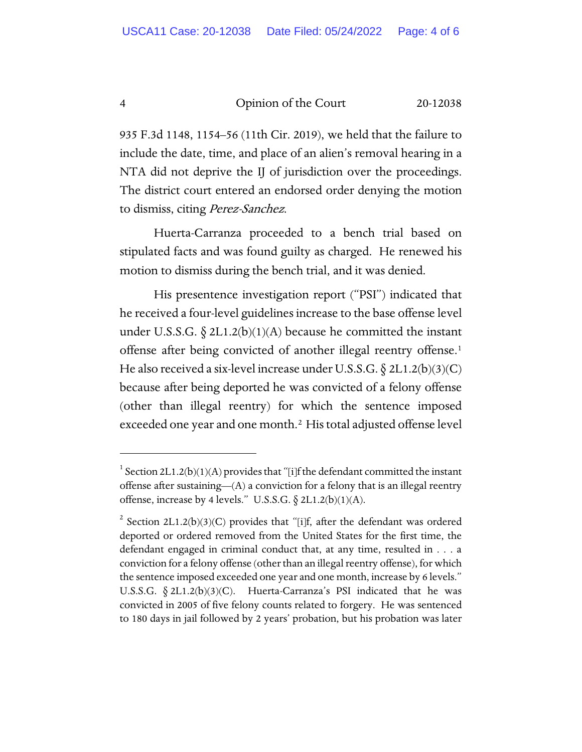4 Opinion of the Court 20-12038

935 F.3d 1148, 1154–56 (11th Cir. 2019), we held that the failure to include the date, time, and place of an alien's removal hearing in a NTA did not deprive the IJ of jurisdiction over the proceedings. The district court entered an endorsed order denying the motion to dismiss, citing Perez-Sanchez.

Huerta-Carranza proceeded to a bench trial based on stipulated facts and was found guilty as charged. He renewed his motion to dismiss during the bench trial, and it was denied.

His presentence investigation report ("PSI") indicated that he received a four-level guidelines increase to the base offense level under U.S.S.G.  $\S 2L1.2(b)(1)(A)$  because he committed the instant offense after being convicted of another illegal reentry offense.[1](#page-3-0) He also received a six-level increase under U.S.S.G.  $\S 2L1.2(b)(3)(C)$ because after being deported he was convicted of a felony offense (other than illegal reentry) for which the sentence imposed exceeded one year and one month.<sup>[2](#page-3-1)</sup> His total adjusted offense level

<span id="page-3-0"></span><sup>&</sup>lt;sup>1</sup> Section 2L1.2(b)(1)(A) provides that "[i]f the defendant committed the instant offense after sustaining—(A) a conviction for a felony that is an illegal reentry offense, increase by 4 levels." U.S.S.G.  $\S 2L1.2(b)(1)(A)$ .

<span id="page-3-1"></span><sup>&</sup>lt;sup>2</sup> Section 2L1.2(b)(3)(C) provides that "[i]f, after the defendant was ordered deported or ordered removed from the United States for the first time, the defendant engaged in criminal conduct that, at any time, resulted in . . . a conviction for a felony offense (other than an illegal reentry offense), for which the sentence imposed exceeded one year and one month, increase by 6 levels." U.S.S.G.  $\S 2L1.2(b)(3)(C)$ . Huerta-Carranza's PSI indicated that he was convicted in 2005 of five felony counts related to forgery. He was sentenced to 180 days in jail followed by 2 years' probation, but his probation was later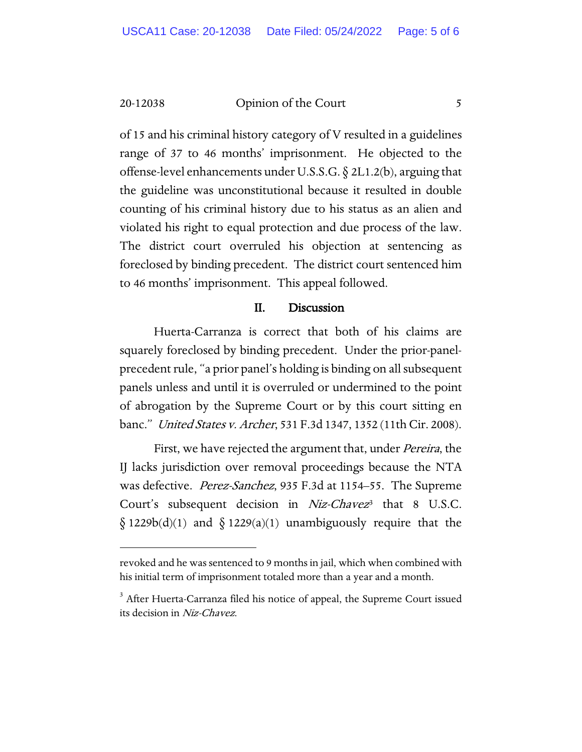20-12038 Opinion of the Court 5

of 15 and his criminal history category of V resulted in a guidelines range of 37 to 46 months' imprisonment. He objected to the offense-level enhancements under U.S.S.G.  $\S$  2L1.2(b), arguing that the guideline was unconstitutional because it resulted in double counting of his criminal history due to his status as an alien and violated his right to equal protection and due process of the law. The district court overruled his objection at sentencing as foreclosed by binding precedent. The district court sentenced him to 46 months' imprisonment. This appeal followed.

#### II. Discussion

Huerta-Carranza is correct that both of his claims are squarely foreclosed by binding precedent. Under the prior-panelprecedent rule, "a prior panel's holding is binding on all subsequent panels unless and until it is overruled or undermined to the point of abrogation by the Supreme Court or by this court sitting en banc." United States v. Archer, 531 F.3d 1347, 1352 (11th Cir. 2008).

First, we have rejected the argument that, under *Pereira*, the IJ lacks jurisdiction over removal proceedings because the NTA was defective. *Perez-Sanchez*, 935 F.3d at 1154–55. The Supreme Court's subsequent decision in  $Niz-Chavez^3$  $Niz-Chavez^3$  that 8 U.S.C.  $\S$  1229b(d)(1) and  $\S$  1229(a)(1) unambiguously require that the

revoked and he was sentenced to 9 months in jail, which when combined with his initial term of imprisonment totaled more than a year and a month.

<span id="page-4-0"></span><sup>&</sup>lt;sup>3</sup> After Huerta-Carranza filed his notice of appeal, the Supreme Court issued its decision in Niz-Chavez.